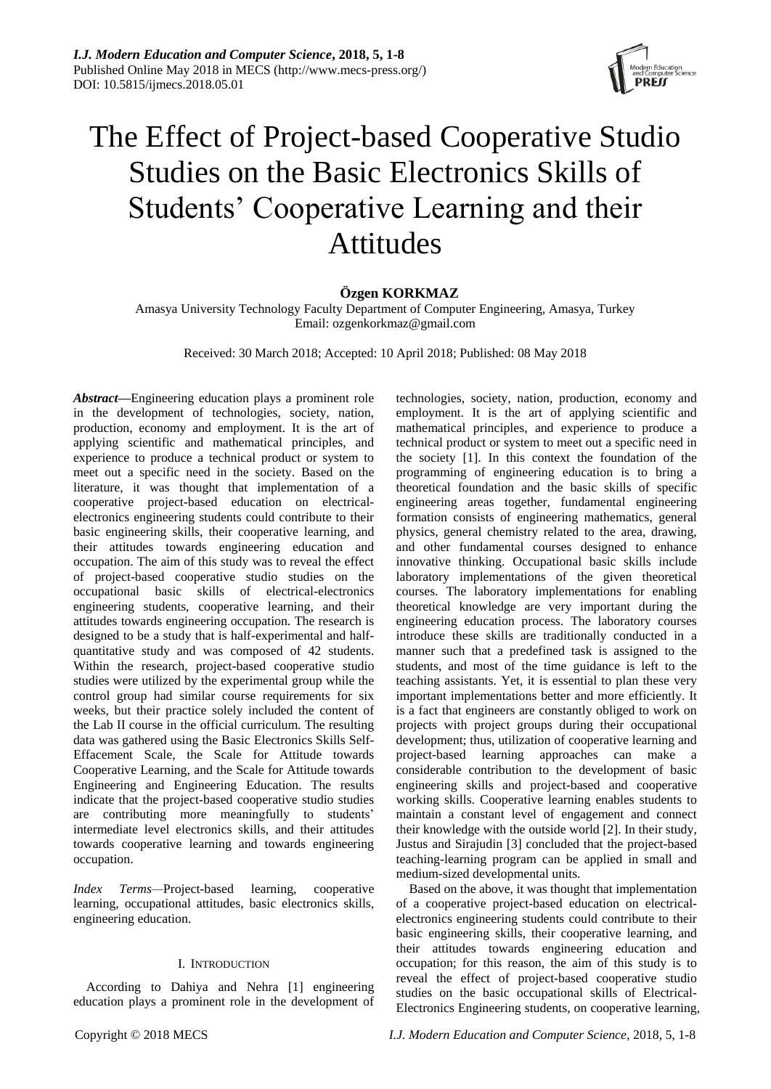

# The Effect of Project-based Cooperative Studio Studies on the Basic Electronics Skills of Students' Cooperative Learning and their Attitudes

## **Özgen KORKMAZ**

Amasya University Technology Faculty Department of Computer Engineering, Amasya, Turkey Email: ozgenkorkmaz@gmail.com

Received: 30 March 2018; Accepted: 10 April 2018; Published: 08 May 2018

*Abstract***—**Engineering education plays a prominent role in the development of technologies, society, nation, production, economy and employment. It is the art of applying scientific and mathematical principles, and experience to produce a technical product or system to meet out a specific need in the society. Based on the literature, it was thought that implementation of a cooperative project-based education on electricalelectronics engineering students could contribute to their basic engineering skills, their cooperative learning, and their attitudes towards engineering education and occupation. The aim of this study was to reveal the effect of project-based cooperative studio studies on the occupational basic skills of electrical-electronics engineering students, cooperative learning, and their attitudes towards engineering occupation. The research is designed to be a study that is half-experimental and halfquantitative study and was composed of 42 students. Within the research, project-based cooperative studio studies were utilized by the experimental group while the control group had similar course requirements for six weeks, but their practice solely included the content of the Lab II course in the official curriculum. The resulting data was gathered using the Basic Electronics Skills Self-Effacement Scale, the Scale for Attitude towards Cooperative Learning, and the Scale for Attitude towards Engineering and Engineering Education. The results indicate that the project-based cooperative studio studies are contributing more meaningfully to students' intermediate level electronics skills, and their attitudes towards cooperative learning and towards engineering occupation.

*Index Terms—*Project-based learning, cooperative learning, occupational attitudes, basic electronics skills, engineering education.

#### I. INTRODUCTION

According to Dahiya and Nehra [1] engineering education plays a prominent role in the development of

employment. It is the art of applying scientific and mathematical principles, and experience to produce a technical product or system to meet out a specific need in the society [1]. In this context the foundation of the programming of engineering education is to bring a theoretical foundation and the basic skills of specific engineering areas together, fundamental engineering formation consists of engineering mathematics, general physics, general chemistry related to the area, drawing, and other fundamental courses designed to enhance innovative thinking. Occupational basic skills include laboratory implementations of the given theoretical courses. The laboratory implementations for enabling theoretical knowledge are very important during the engineering education process. The laboratory courses introduce these skills are traditionally conducted in a manner such that a predefined task is assigned to the students, and most of the time guidance is left to the teaching assistants. Yet, it is essential to plan these very important implementations better and more efficiently. It is a fact that engineers are constantly obliged to work on projects with project groups during their occupational development; thus, utilization of cooperative learning and project-based learning approaches can make a considerable contribution to the development of basic engineering skills and project-based and cooperative working skills. Cooperative learning enables students to maintain a constant level of engagement and connect their knowledge with the outside world [2]. In their study, Justus and Sirajudin [3] concluded that the project-based teaching-learning program can be applied in small and medium-sized developmental units. Based on the above, it was thought that implementation

technologies, society, nation, production, economy and

of a cooperative project-based education on electricalelectronics engineering students could contribute to their basic engineering skills, their cooperative learning, and their attitudes towards engineering education and occupation; for this reason, the aim of this study is to reveal the effect of project-based cooperative studio studies on the basic occupational skills of Electrical-Electronics Engineering students, on cooperative learning,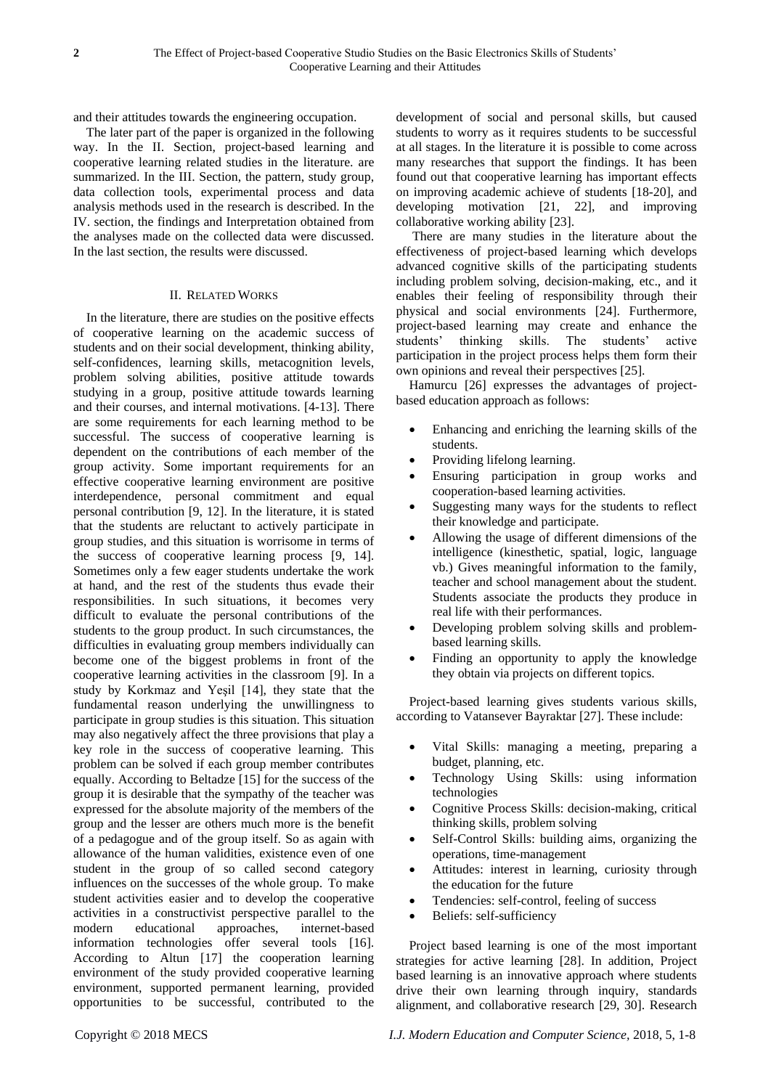and their attitudes towards the engineering occupation.

The later part of the paper is organized in the following way. In the II. Section, project-based learning and cooperative learning related studies in the literature. are summarized. In the III. Section, the pattern, study group, data collection tools, experimental process and data analysis methods used in the research is described. In the IV. section, the findings and Interpretation obtained from the analyses made on the collected data were discussed. In the last section, the results were discussed.

#### II. RELATED WORKS

In the literature, there are studies on the positive effects of cooperative learning on the academic success of students and on their social development, thinking ability, self-confidences, learning skills, metacognition levels, problem solving abilities, positive attitude towards studying in a group, positive attitude towards learning and their courses, and internal motivations. [4-13]. There are some requirements for each learning method to be successful. The success of cooperative learning is dependent on the contributions of each member of the group activity. Some important requirements for an effective cooperative learning environment are positive interdependence, personal commitment and equal personal contribution [9, 12]. In the literature, it is stated that the students are reluctant to actively participate in group studies, and this situation is worrisome in terms of the success of cooperative learning process [9, 14]. Sometimes only a few eager students undertake the work at hand, and the rest of the students thus evade their responsibilities. In such situations, it becomes very difficult to evaluate the personal contributions of the students to the group product. In such circumstances, the difficulties in evaluating group members individually can become one of the biggest problems in front of the cooperative learning activities in the classroom [9]. In a study by Korkmaz and Yeşil [14], they state that the fundamental reason underlying the unwillingness to participate in group studies is this situation. This situation may also negatively affect the three provisions that play a key role in the success of cooperative learning. This problem can be solved if each group member contributes equally. According to Beltadze [15] for the success of the group it is desirable that the sympathy of the teacher was expressed for the absolute majority of the members of the group and the lesser are others much more is the benefit of a pedagogue and of the group itself. So as again with allowance of the human validities, existence even of one student in the group of so called second category influences on the successes of the whole group. To make student activities easier and to develop the cooperative activities in a constructivist perspective parallel to the modern educational approaches, internet-based information technologies offer several tools [16]. According to Altun [17] the cooperation learning environment of the study provided cooperative learning environment, supported permanent learning, provided opportunities to be successful, contributed to the

development of social and personal skills, but caused students to worry as it requires students to be successful at all stages. In the literature it is possible to come across many researches that support the findings. It has been found out that cooperative learning has important effects on improving academic achieve of students [18-20], and developing motivation [21, 22], and improving collaborative working ability [23].

There are many studies in the literature about the effectiveness of project-based learning which develops advanced cognitive skills of the participating students including problem solving, decision-making, etc., and it enables their feeling of responsibility through their physical and social environments [24]. Furthermore, project-based learning may create and enhance the students' thinking skills. The students' active participation in the project process helps them form their own opinions and reveal their perspectives [25].

Hamurcu [26] expresses the advantages of projectbased education approach as follows:

- Enhancing and enriching the learning skills of the students.
- Providing lifelong learning.
- Ensuring participation in group works and cooperation-based learning activities.
- Suggesting many ways for the students to reflect their knowledge and participate.
- Allowing the usage of different dimensions of the intelligence (kinesthetic, spatial, logic, language vb.) Gives meaningful information to the family, teacher and school management about the student. Students associate the products they produce in real life with their performances.
- Developing problem solving skills and problembased learning skills.
- Finding an opportunity to apply the knowledge they obtain via projects on different topics.

Project-based learning gives students various skills, according to Vatansever Bayraktar [27]. These include:

- Vital Skills: managing a meeting, preparing a budget, planning, etc.
- Technology Using Skills: using information technologies
- Cognitive Process Skills: decision-making, critical thinking skills, problem solving
- Self-Control Skills: building aims, organizing the operations, time-management
- Attitudes: interest in learning, curiosity through the education for the future
- Tendencies: self-control, feeling of success
- Beliefs: self-sufficiency

Project based learning is one of the most important strategies for active learning [28]. In addition, Project based learning is an innovative approach where students drive their own learning through inquiry, standards alignment, and collaborative research [29, 30]. Research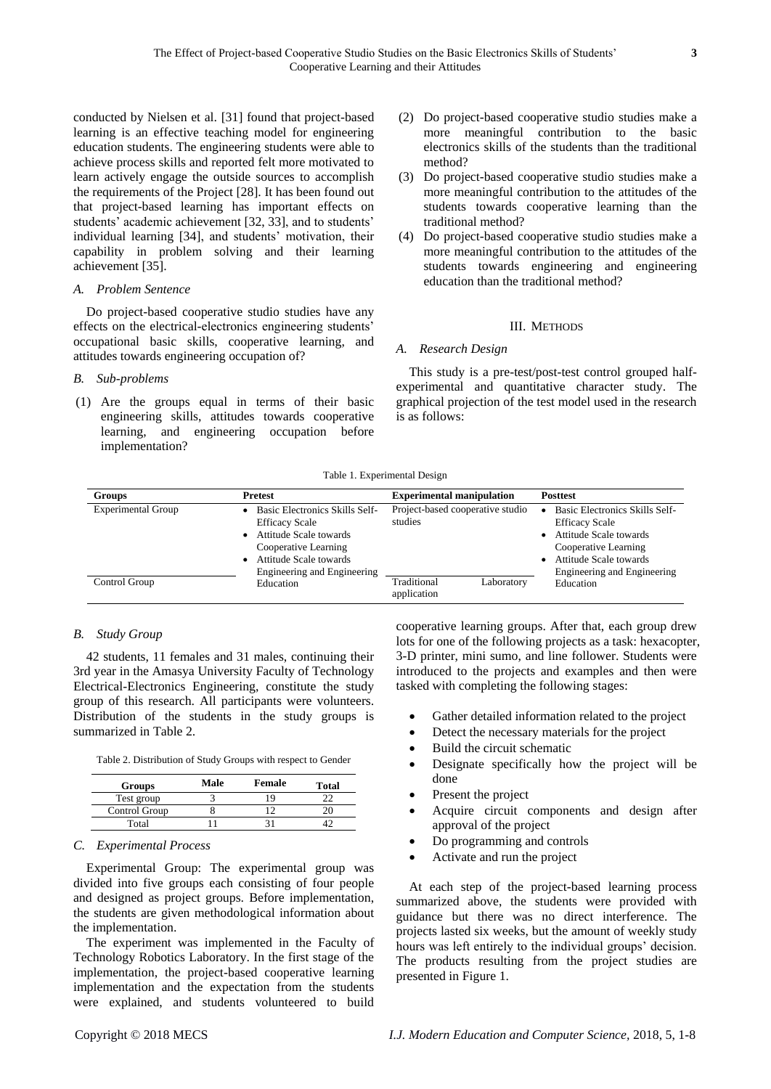conducted by Nielsen et al. [31] found that project-based learning is an effective teaching model for engineering education students. The engineering students were able to achieve process skills and reported felt more motivated to learn actively engage the outside sources to accomplish the requirements of the Project [28]. It has been found out that project-based learning has important effects on students' academic achievement [32, 33], and to students' individual learning [34], and students' motivation, their capability in problem solving and their learning achievement [35].

#### *A. Problem Sentence*

Do project-based cooperative studio studies have any effects on the electrical-electronics engineering students' occupational basic skills, cooperative learning, and attitudes towards engineering occupation of?

### *B. Sub-problems*

(1) Are the groups equal in terms of their basic engineering skills, attitudes towards cooperative learning, and engineering occupation before implementation?

- (2) Do project-based cooperative studio studies make a more meaningful contribution to the basic electronics skills of the students than the traditional method?
- (3) Do project-based cooperative studio studies make a more meaningful contribution to the attitudes of the students towards cooperative learning than the traditional method?
- (4) Do project-based cooperative studio studies make a more meaningful contribution to the attitudes of the students towards engineering and engineering education than the traditional method?

### III. METHODS

## *A. Research Design*

This study is a pre-test/post-test control grouped halfexperimental and quantitative character study. The graphical projection of the test model used in the research is as follows:

Table 1. Experimental Design

| <b>Groups</b>             | Pretest                                                                                                                                                            | <b>Experimental manipulation</b>            | <b>Posttest</b>                                                                                                                                                                              |  |  |
|---------------------------|--------------------------------------------------------------------------------------------------------------------------------------------------------------------|---------------------------------------------|----------------------------------------------------------------------------------------------------------------------------------------------------------------------------------------------|--|--|
| <b>Experimental Group</b> | Basic Electronics Skills Self-<br><b>Efficacy Scale</b><br>Attitude Scale towards<br>Cooperative Learning<br>Attitude Scale towards<br>Engineering and Engineering | Project-based cooperative studio<br>studies | Basic Electronics Skills Self-<br><b>Efficacy Scale</b><br>Attitude Scale towards<br>$\bullet$<br>Cooperative Learning<br>Attitude Scale towards<br>$\bullet$<br>Engineering and Engineering |  |  |
| Control Group             | Education                                                                                                                                                          | Traditional<br>Laboratory<br>application    | Education                                                                                                                                                                                    |  |  |

## *B. Study Group*

42 students, 11 females and 31 males, continuing their 3rd year in the Amasya University Faculty of Technology Electrical-Electronics Engineering, constitute the study group of this research. All participants were volunteers. Distribution of the students in the study groups is summarized in Table 2.

| Table 2. Distribution of Study Groups with respect to Gender |  |  |  |
|--------------------------------------------------------------|--|--|--|
|--------------------------------------------------------------|--|--|--|

| <b>Groups</b> | Male | Female | Total |  |  |
|---------------|------|--------|-------|--|--|
| Test group    |      |        |       |  |  |
| Control Group |      |        |       |  |  |
| Total         |      |        |       |  |  |

#### *C. Experimental Process*

Experimental Group: The experimental group was divided into five groups each consisting of four people and designed as project groups. Before implementation, the students are given methodological information about the implementation.

The experiment was implemented in the Faculty of Technology Robotics Laboratory. In the first stage of the implementation, the project-based cooperative learning implementation and the expectation from the students were explained, and students volunteered to build cooperative learning groups. After that, each group drew lots for one of the following projects as a task: hexacopter, 3-D printer, mini sumo, and line follower. Students were introduced to the projects and examples and then were tasked with completing the following stages:

- Gather detailed information related to the project
- Detect the necessary materials for the project
- Build the circuit schematic
- Designate specifically how the project will be done
- Present the project
- Acquire circuit components and design after approval of the project
- Do programming and controls
- Activate and run the project

At each step of the project-based learning process summarized above, the students were provided with guidance but there was no direct interference. The projects lasted six weeks, but the amount of weekly study hours was left entirely to the individual groups' decision. The products resulting from the project studies are presented in Figure 1.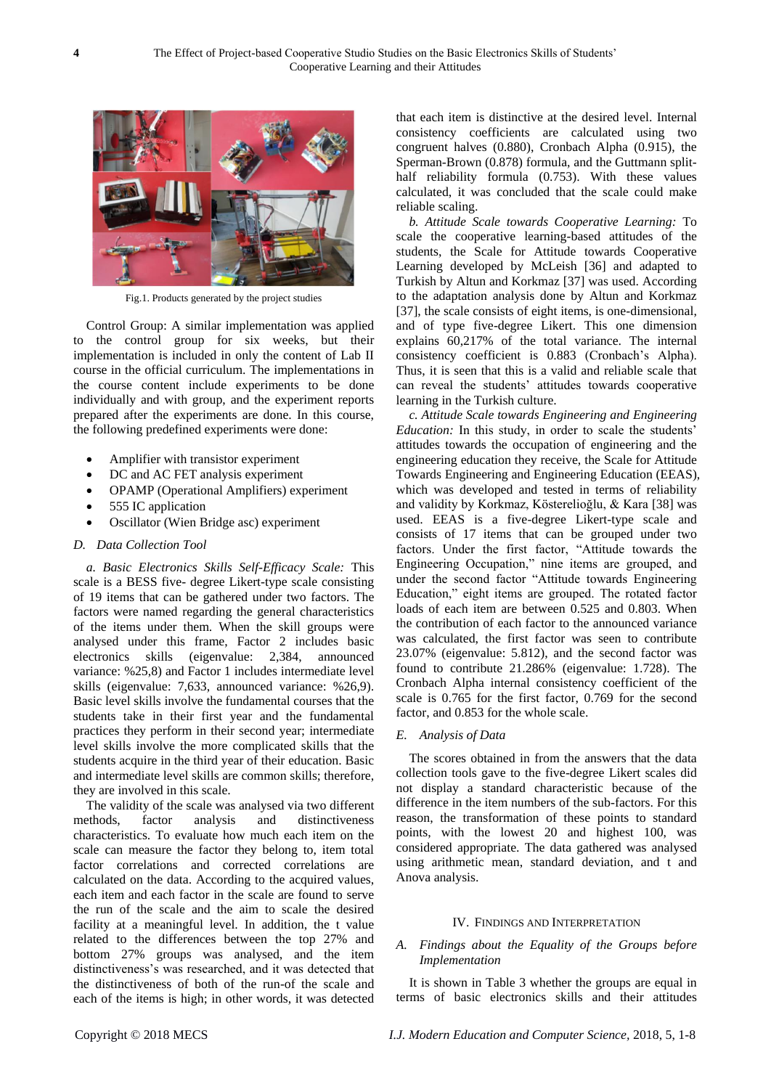

Fig.1. Products generated by the project studies

Control Group: A similar implementation was applied to the control group for six weeks, but their implementation is included in only the content of Lab II course in the official curriculum. The implementations in the course content include experiments to be done individually and with group, and the experiment reports prepared after the experiments are done. In this course, the following predefined experiments were done:

- Amplifier with transistor experiment
- DC and AC FET analysis experiment
- OPAMP (Operational Amplifiers) experiment
- 555 IC application
- Oscillator (Wien Bridge asc) experiment

#### *D. Data Collection Tool*

*a. Basic Electronics Skills Self-Efficacy Scale:* This scale is a BESS five- degree Likert-type scale consisting of 19 items that can be gathered under two factors. The factors were named regarding the general characteristics of the items under them. When the skill groups were analysed under this frame, Factor 2 includes basic electronics skills (eigenvalue: 2,384, announced variance: %25,8) and Factor 1 includes intermediate level skills (eigenvalue: 7,633, announced variance: %26,9). Basic level skills involve the fundamental courses that the students take in their first year and the fundamental practices they perform in their second year; intermediate level skills involve the more complicated skills that the students acquire in the third year of their education. Basic and intermediate level skills are common skills; therefore, they are involved in this scale.

The validity of the scale was analysed via two different methods, factor analysis and distinctiveness characteristics. To evaluate how much each item on the scale can measure the factor they belong to, item total factor correlations and corrected correlations are calculated on the data. According to the acquired values, each item and each factor in the scale are found to serve the run of the scale and the aim to scale the desired facility at a meaningful level. In addition, the t value related to the differences between the top 27% and bottom 27% groups was analysed, and the item distinctiveness's was researched, and it was detected that the distinctiveness of both of the run-of the scale and each of the items is high; in other words, it was detected that each item is distinctive at the desired level. Internal consistency coefficients are calculated using two congruent halves (0.880), Cronbach Alpha (0.915), the Sperman-Brown (0.878) formula, and the Guttmann splithalf reliability formula (0.753). With these values calculated, it was concluded that the scale could make reliable scaling.

*b. Attitude Scale towards Cooperative Learning:* To scale the cooperative learning-based attitudes of the students, the Scale for Attitude towards Cooperative Learning developed by McLeish [36] and adapted to Turkish by Altun and Korkmaz [37] was used. According to the adaptation analysis done by Altun and Korkmaz [37], the scale consists of eight items, is one-dimensional, and of type five-degree Likert. This one dimension explains 60,217% of the total variance. The internal consistency coefficient is 0.883 (Cronbach's Alpha). Thus, it is seen that this is a valid and reliable scale that can reveal the students' attitudes towards cooperative learning in the Turkish culture.

*c. Attitude Scale towards Engineering and Engineering Education:* In this study, in order to scale the students' attitudes towards the occupation of engineering and the engineering education they receive, the Scale for Attitude Towards Engineering and Engineering Education (EEAS), which was developed and tested in terms of reliability and validity by Korkmaz, Kösterelioğlu, & Kara [38] was used. EEAS is a five-degree Likert-type scale and consists of 17 items that can be grouped under two factors. Under the first factor, "Attitude towards the Engineering Occupation," nine items are grouped, and under the second factor "Attitude towards Engineering Education," eight items are grouped. The rotated factor loads of each item are between 0.525 and 0.803. When the contribution of each factor to the announced variance was calculated, the first factor was seen to contribute 23.07% (eigenvalue: 5.812), and the second factor was found to contribute 21.286% (eigenvalue: 1.728). The Cronbach Alpha internal consistency coefficient of the scale is 0.765 for the first factor, 0.769 for the second factor, and 0.853 for the whole scale.

#### *E. Analysis of Data*

The scores obtained in from the answers that the data collection tools gave to the five-degree Likert scales did not display a standard characteristic because of the difference in the item numbers of the sub-factors. For this reason, the transformation of these points to standard points, with the lowest 20 and highest 100, was considered appropriate. The data gathered was analysed using arithmetic mean, standard deviation, and t and Anova analysis.

#### IV. FINDINGS AND INTERPRETATION

#### *A. Findings about the Equality of the Groups before Implementation*

It is shown in Table 3 whether the groups are equal in terms of basic electronics skills and their attitudes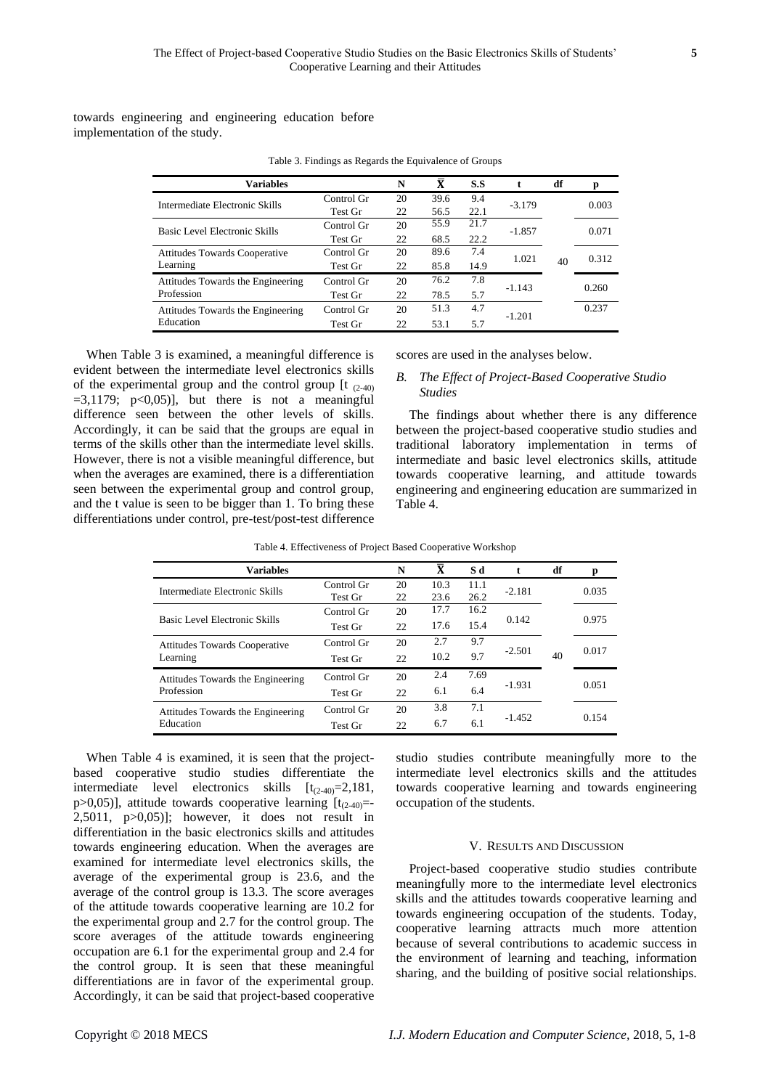towards engineering and engineering education before implementation of the study.

| Variables                            |            | N  | $\overline{\mathbf{x}}$ | S.S  | t        | df | p     |
|--------------------------------------|------------|----|-------------------------|------|----------|----|-------|
| Intermediate Electronic Skills       | Control Gr | 20 | 39.6                    | 9.4  | $-3.179$ |    | 0.003 |
|                                      | Test Gr    | 22 | 56.5                    | 22.1 |          |    |       |
| Basic Level Electronic Skills        | Control Gr | 20 | 55.9                    | 21.7 | $-1.857$ |    | 0.071 |
|                                      | Test Gr    | 22 | 68.5                    | 22.2 |          |    |       |
| <b>Attitudes Towards Cooperative</b> | Control Gr | 20 | 89.6                    | 7.4  | 1.021    |    | 0.312 |
| Learning                             | Test Gr    | 22 | 85.8                    | 14.9 |          | 40 |       |
| Attitudes Towards the Engineering    | Control Gr | 20 | 76.2                    | 7.8  | $-1.143$ |    | 0.260 |
| Profession                           | Test Gr    | 22 | 78.5                    | 5.7  |          |    |       |
| Attitudes Towards the Engineering    | Control Gr | 20 | 51.3                    | 4.7  | $-1.201$ |    | 0.237 |
| Education                            | Test Gr    | 22 | 53.1                    | 5.7  |          |    |       |

Table 3. Findings as Regards the Equivalence of Groups

When Table 3 is examined, a meaningful difference is evident between the intermediate level electronics skills of the experimental group and the control group  $[t_{(2-40)}]$  $=3,1179$ ;  $p<0,05$ ], but there is not a meaningful difference seen between the other levels of skills. Accordingly, it can be said that the groups are equal in terms of the skills other than the intermediate level skills. However, there is not a visible meaningful difference, but when the averages are examined, there is a differentiation seen between the experimental group and control group, and the t value is seen to be bigger than 1. To bring these differentiations under control, pre-test/post-test difference

scores are used in the analyses below.

### *B. The Effect of Project-Based Cooperative Studio Studies*

The findings about whether there is any difference between the project-based cooperative studio studies and traditional laboratory implementation in terms of intermediate and basic level electronics skills, attitude towards cooperative learning, and attitude towards engineering and engineering education are summarized in Table 4.

| <b>Variables</b>                     |            | N  | $\overline{\mathbf{x}}$ | S d  |          | df | p     |
|--------------------------------------|------------|----|-------------------------|------|----------|----|-------|
| Intermediate Electronic Skills       | Control Gr | 20 | 10.3                    | 11.1 | $-2.181$ |    | 0.035 |
|                                      | Test Gr    | 22 | 23.6                    | 26.2 |          |    |       |
|                                      | Control Gr | 20 | 17.7                    | 16.2 |          |    |       |
| Basic Level Electronic Skills        | Test Gr    | 22 | 17.6                    | 15.4 | 0.142    |    | 0.975 |
| <b>Attitudes Towards Cooperative</b> | Control Gr | 20 | 2.7                     | 9.7  |          | 40 | 0.017 |
| Learning                             | Test Gr    | 22 | 10.2                    | 9.7  | $-2.501$ |    |       |
| Attitudes Towards the Engineering    | Control Gr | 20 | 2.4                     | 7.69 |          |    |       |
| Profession                           | Test Gr    | 22 | 6.1                     | 6.4  | $-1.931$ |    | 0.051 |
| Attitudes Towards the Engineering    | Control Gr | 20 | 3.8                     | 7.1  |          |    |       |
| Education                            | Test Gr    | 22 | 6.7                     | 6.1  | $-1.452$ |    | 0.154 |

Table 4. Effectiveness of Project Based Cooperative Workshop

When Table 4 is examined, it is seen that the projectbased cooperative studio studies differentiate the intermediate level electronics skills  $[t_{(2-40)}=2,181,$ p>0,05)], attitude towards cooperative learning  $[t<sub>(2-40)</sub>=]$ 2,5011,  $p>0,05$ ]; however, it does not result in differentiation in the basic electronics skills and attitudes towards engineering education. When the averages are examined for intermediate level electronics skills, the average of the experimental group is 23.6, and the average of the control group is 13.3. The score averages of the attitude towards cooperative learning are 10.2 for the experimental group and 2.7 for the control group. The score averages of the attitude towards engineering occupation are 6.1 for the experimental group and 2.4 for the control group. It is seen that these meaningful differentiations are in favor of the experimental group. Accordingly, it can be said that project-based cooperative

studio studies contribute meaningfully more to the intermediate level electronics skills and the attitudes towards cooperative learning and towards engineering occupation of the students.

#### V. RESULTS AND DISCUSSION

Project-based cooperative studio studies contribute meaningfully more to the intermediate level electronics skills and the attitudes towards cooperative learning and towards engineering occupation of the students. Today, cooperative learning attracts much more attention because of several contributions to academic success in the environment of learning and teaching, information sharing, and the building of positive social relationships.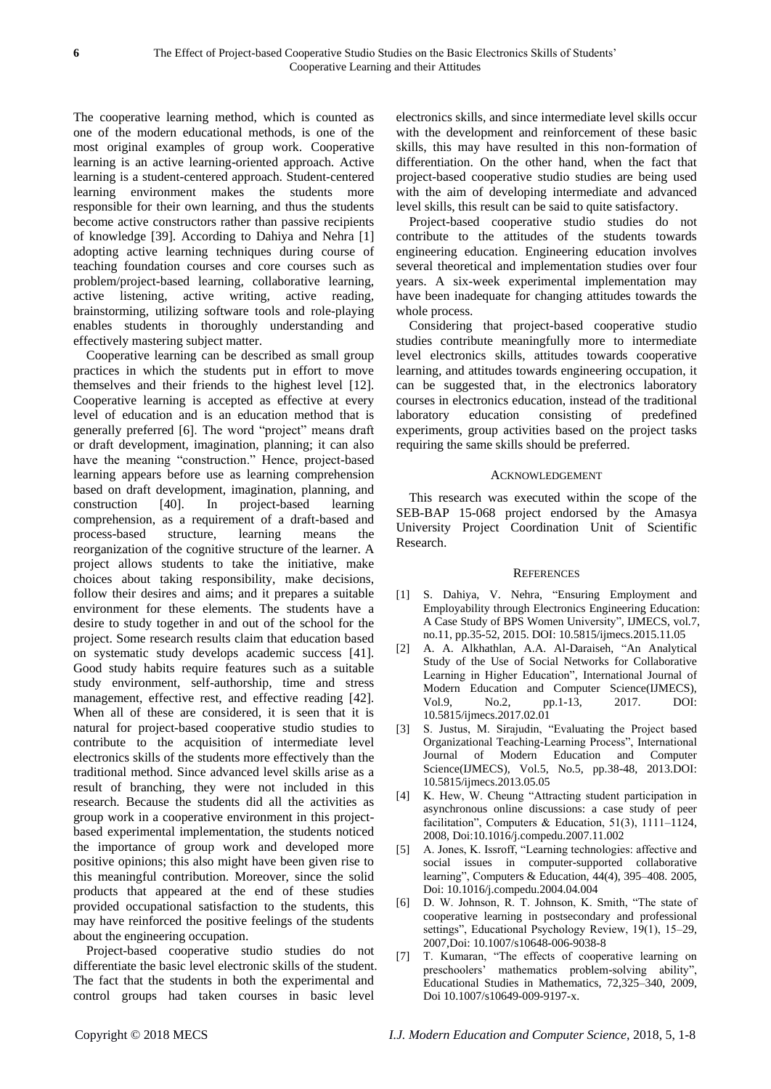The cooperative learning method, which is counted as one of the modern educational methods, is one of the most original examples of group work. Cooperative learning is an active learning-oriented approach. Active learning is a student-centered approach. Student-centered learning environment makes the students more responsible for their own learning, and thus the students become active constructors rather than passive recipients of knowledge [39]. According to Dahiya and Nehra [1] adopting active learning techniques during course of teaching foundation courses and core courses such as problem/project-based learning, collaborative learning, active listening, active writing, active reading, brainstorming, utilizing software tools and role-playing enables students in thoroughly understanding and effectively mastering subject matter.

Cooperative learning can be described as small group practices in which the students put in effort to move themselves and their friends to the highest level [12]. Cooperative learning is accepted as effective at every level of education and is an education method that is generally preferred [6]. The word "project" means draft or draft development, imagination, planning; it can also have the meaning "construction." Hence, project-based learning appears before use as learning comprehension based on draft development, imagination, planning, and construction [40]. In project-based learning comprehension, as a requirement of a draft-based and process-based structure, learning means the reorganization of the cognitive structure of the learner. A project allows students to take the initiative, make choices about taking responsibility, make decisions, follow their desires and aims; and it prepares a suitable environment for these elements. The students have a desire to study together in and out of the school for the project. Some research results claim that education based on systematic study develops academic success [41]. Good study habits require features such as a suitable study environment, self-authorship, time and stress management, effective rest, and effective reading [42]. When all of these are considered, it is seen that it is natural for project-based cooperative studio studies to contribute to the acquisition of intermediate level electronics skills of the students more effectively than the traditional method. Since advanced level skills arise as a result of branching, they were not included in this research. Because the students did all the activities as group work in a cooperative environment in this projectbased experimental implementation, the students noticed the importance of group work and developed more positive opinions; this also might have been given rise to this meaningful contribution. Moreover, since the solid products that appeared at the end of these studies provided occupational satisfaction to the students, this may have reinforced the positive feelings of the students about the engineering occupation.

Project-based cooperative studio studies do not differentiate the basic level electronic skills of the student. The fact that the students in both the experimental and control groups had taken courses in basic level

electronics skills, and since intermediate level skills occur with the development and reinforcement of these basic skills, this may have resulted in this non-formation of differentiation. On the other hand, when the fact that project-based cooperative studio studies are being used with the aim of developing intermediate and advanced level skills, this result can be said to quite satisfactory.

Project-based cooperative studio studies do not contribute to the attitudes of the students towards engineering education. Engineering education involves several theoretical and implementation studies over four years. A six-week experimental implementation may have been inadequate for changing attitudes towards the whole process.

Considering that project-based cooperative studio studies contribute meaningfully more to intermediate level electronics skills, attitudes towards cooperative learning, and attitudes towards engineering occupation, it can be suggested that, in the electronics laboratory courses in electronics education, instead of the traditional laboratory education consisting of predefined experiments, group activities based on the project tasks requiring the same skills should be preferred.

#### ACKNOWLEDGEMENT

This research was executed within the scope of the SEB-BAP 15-068 project endorsed by the Amasya University Project Coordination Unit of Scientific Research.

#### **REFERENCES**

- [1] S. Dahiya, V. Nehra, "Ensuring Employment and Employability through Electronics Engineering Education: A Case Study of BPS Women University", IJMECS, vol.7, no.11, pp.35-52, 2015. DOI: 10.5815/ijmecs.2015.11.05
- [2] A. A. Alkhathlan, A.A. Al-Daraiseh, "An Analytical Study of the Use of Social Networks for Collaborative Learning in Higher Education", International Journal of Modern Education and Computer Science(IJMECS), Vol.9, No.2, pp.1-13, 2017. DOI: 10.5815/ijmecs.2017.02.01
- [3] S. Justus, M. Sirajudin, "Evaluating the Project based Organizational Teaching-Learning Process", International Journal of Modern Education and Computer Science(IJMECS), Vol.5, No.5, pp.38-48, 2013.DOI: 10.5815/ijmecs.2013.05.05
- [4] K. Hew, W. Cheung "Attracting student participation in asynchronous online discussions: a case study of peer facilitation", Computers & Education, 51(3), 1111–1124, 2008, Doi:10.1016/j.compedu.2007.11.002
- [5] A. Jones, K. Issroff, "Learning technologies: affective and social issues in computer-supported collaborative learning", Computers & Education, 44(4), 395–408. 2005, Doi: 10.1016/j.compedu.2004.04.004
- [6] D. W. Johnson, R. T. Johnson, K. Smith, "The state of cooperative learning in postsecondary and professional settings", Educational Psychology Review, 19(1), 15–29, 2007,Doi: 10.1007/s10648-006-9038-8
- [7] T. Kumaran, "The effects of cooperative learning on preschoolers' mathematics problem-solving ability", Educational Studies in Mathematics, 72,325–340, 2009, Doi 10.1007/s10649-009-9197-x.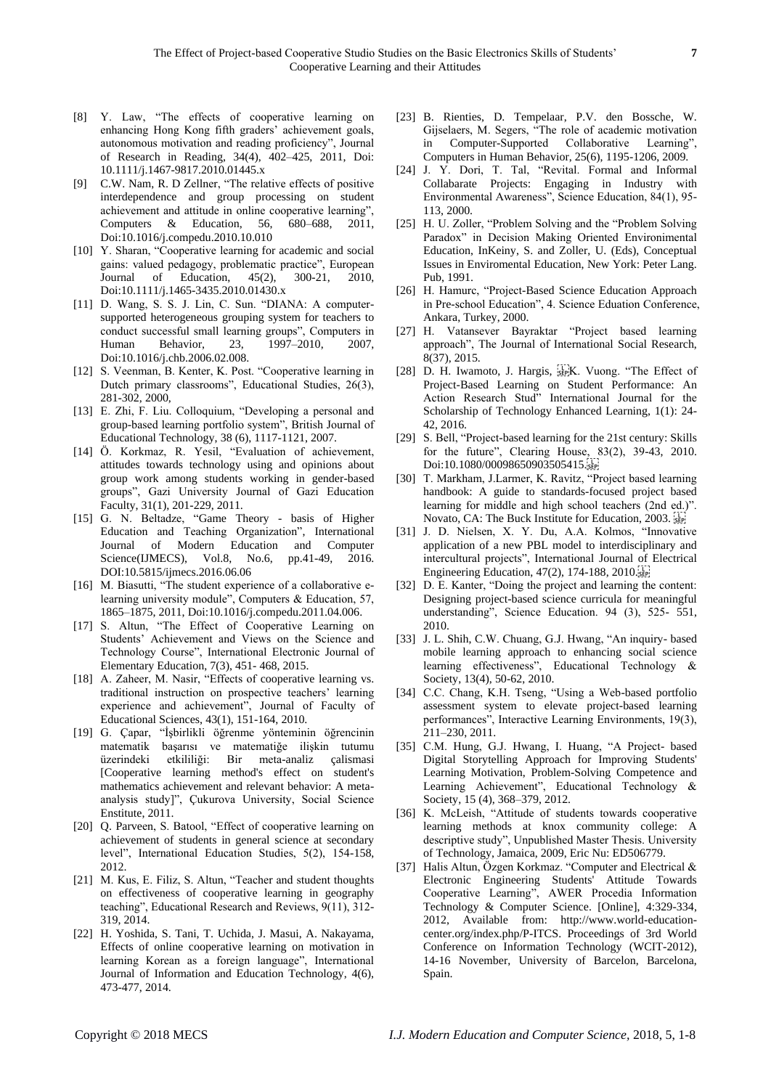- [8] Y. Law, "The effects of cooperative learning on enhancing Hong Kong fifth graders' achievement goals, autonomous motivation and reading proficiency", Journal of Research in Reading, 34(4), 402–425, 2011, Doi: 10.1111/j.1467-9817.2010.01445.x
- [9] C.W. Nam, R. D Zellner, "The relative effects of positive interdependence and group processing on student achievement and attitude in online cooperative learning", Computers & Education, 56, 680–688, 2011, Doi:10.1016/j.compedu.2010.10.010
- [10] Y. Sharan, "Cooperative learning for academic and social gains: valued pedagogy, problematic practice", European Journal of Education, 45(2), 300-21, 2010, Doi:10.1111/j.1465-3435.2010.01430.x
- [11] D. Wang, S. S. J. Lin, C. Sun. "DIANA: A computersupported heterogeneous grouping system for teachers to conduct successful small learning groups", Computers in Human Behavior, 23, 1997–2010, 2007, Doi:10.1016/j.chb.2006.02.008.
- [12] S. Veenman, B. Kenter, K. Post. "Cooperative learning in Dutch primary classrooms", Educational Studies, 26(3), 281-302, 2000,
- [13] E. Zhi, F. Liu. Colloquium, "Developing a personal and group-based learning portfolio system", British Journal of Educational Technology, 38 (6), 1117-1121, 2007.
- [14] Ö. Korkmaz, R. Yesil, "Evaluation of achievement, attitudes towards technology using and opinions about group work among students working in gender-based groups", Gazi University Journal of Gazi Education Faculty, 31(1), 201-229, 2011.
- [15] G. N. Beltadze, "Game Theory basis of Higher Education and Teaching Organization", International Journal of Modern Education and Computer Science(IJMECS), Vol.8, No.6, pp.41-49, 2016. DOI:10.5815/ijmecs.2016.06.06
- [16] M. Biasutti, "The student experience of a collaborative elearning university module", Computers & Education, 57, 1865–1875, 2011, Doi:10.1016/j.compedu.2011.04.006.
- [17] S. Altun, "The Effect of Cooperative Learning on Students' Achievement and Views on the Science and Technology Course", International Electronic Journal of Elementary Education, 7(3), 451- 468, 2015.
- [18] A. Zaheer, M. Nasir, "Effects of cooperative learning vs. traditional instruction on prospective teachers' learning experience and achievement", Journal of Faculty of Educational Sciences, 43(1), 151-164, 2010.
- [19] G. Çapar, "İşbirlikli öğrenme yönteminin öğrencinin matematik başarısı ve matematiğe ilişkin tutumu üzerindeki etkililiği: Bir meta-analiz çalismasi [Cooperative learning method's effect on student's mathematics achievement and relevant behavior: A metaanalysis study]", Çukurova University, Social Science Enstitute, 2011.
- [20] Q. Parveen, S. Batool, "Effect of cooperative learning on achievement of students in general science at secondary level", International Education Studies, 5(2), 154-158, 2012.
- [21] M. Kus, E. Filiz, S. Altun, "Teacher and student thoughts on effectiveness of cooperative learning in geography teaching", Educational Research and Reviews, 9(11), 312- 319, 2014.
- [22] H. Yoshida, S. Tani, T. Uchida, J. Masui, A. Nakayama, Effects of online cooperative learning on motivation in learning Korean as a foreign language", International Journal of Information and Education Technology, 4(6), 473-477, 2014.
- [23] B. Rienties, [D. Tempelaar,](https://www.sciencedirect.com/science/article/pii/S0747563209000946#!) P.V. den Bossche, W. Gijselaers, M. Segers, "The role of academic motivation in Computer-Supported Collaborative Learning", Computers in Human Behavior, 25(6), 1195-1206, 2009.
- [24] J. Y. Dorı̇, T. Tal, "Revital. Formal and Informal Collabarate Projects: Engaging in Industry with Environmental Awareness", Science Education, 84(1), 95- 113, 2000.
- [25] H. U. Zoller, "Problem Solving and the "Problem Solving Paradox" in Decision Making Oriented Environimental Education, InKeiny, S. and Zoller, U. (Eds), Conceptual Issues in Enviromental Education, New York: Peter Lang. Pub, 1991.
- [26] H. Hamurc, "Project-Based Science Education Approach in Pre-school Education", 4. Science Eduation Conference, Ankara, Turkey, 2000.
- [27] H. Vatansever Bayraktar "Project based learning approach", The Journal of International Social Research, 8(37), 2015.
- [28] D. H. Iwamoto, J. Hargis,  $\frac{1}{55}$ K. Vuong. "The Effect of Project-Based Learning on Student Performance: An Action Research Stud" International Journal for the Scholarship of Technology Enhanced Learning, 1(1): 24- 42, 2016.
- [29] S. Bell, "Project-based learning for the 21st century: Skills for the future", Clearing House, 83(2), 39-43, 2010. Doi:10.1080/00098650903505415.
- [30] T. Markham, J.Larmer, K. Ravitz, "Project based learning handbook: A guide to standards-focused project based learning for middle and high school teachers (2nd ed.)". Novato, CA: The Buck Institute for Education, 2003.
- [31] J. D. Nielsen, X. Y. Du, A.A. Kolmos, "Innovative application of a new PBL model to interdisciplinary and intercultural projects", International Journal of Electrical Engineering Education, 47(2), 174-188, 2010.
- [32] D. E. Kanter, "Doing the project and learning the content: Designing project-based science curricula for meaningful understanding", Science Education. 94 (3), 525- 551, 2010.
- [33] J. L. Shih, C.W. Chuang, G.J. Hwang, "An inquiry- based mobile learning approach to enhancing social science learning effectiveness", Educational Technology & Society, 13(4), 50-62, 2010.
- [34] C.C. Chang, K.H. Tseng, "Using a Web-based portfolio assessment system to elevate project-based learning performances", Interactive Learning Environments, 19(3), 211–230, 2011.
- [35] C.M. Hung, G.J. Hwang, I. Huang, "A Project- based Digital Storytelling Approach for Improving Students' Learning Motivation, Problem-Solving Competence and Learning Achievement", Educational Technology & Society, 15 (4), 368–379, 2012.
- [36] K. McLeish, "Attitude of students towards cooperative learning methods at knox community college: A descriptive study", Unpublished Master Thesis. University of Technology, Jamaica, 2009, Eric Nu: ED506779.
- [37] Halis Altun, Özgen Korkmaz. "Computer and Electrical & Electronic Engineering Students' Attitude Towards Cooperative Learning", AWER Procedia Information Technology & Computer Science. [Online], 4:329-334, 2012, Available from: http://www.world-educationcenter.org/index.php/P-ITCS. Proceedings of 3rd World Conference on Information Technology (WCIT-2012), 14-16 November, University of Barcelon, Barcelona, Spain.